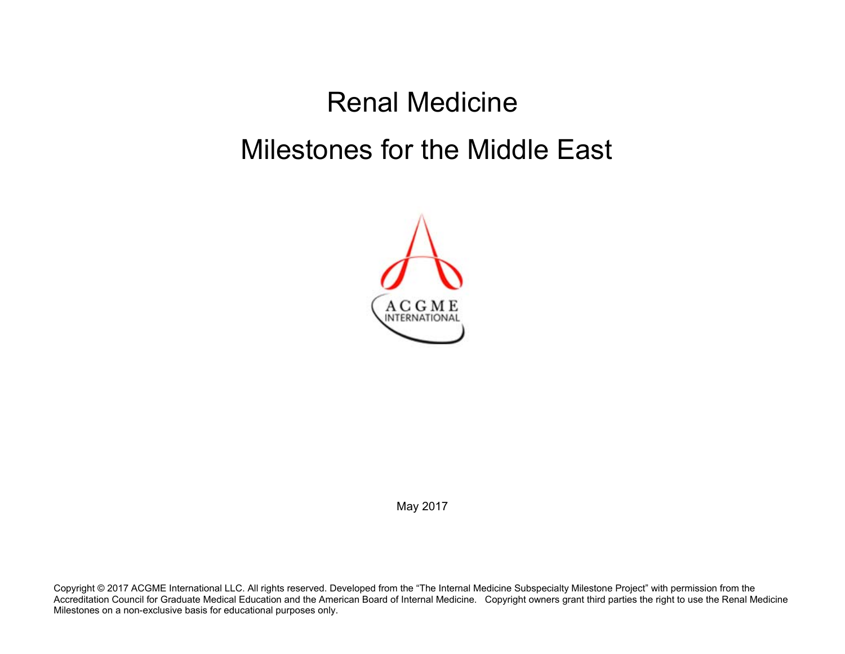## Renal Medicine Milestones for the Middle East



May 2017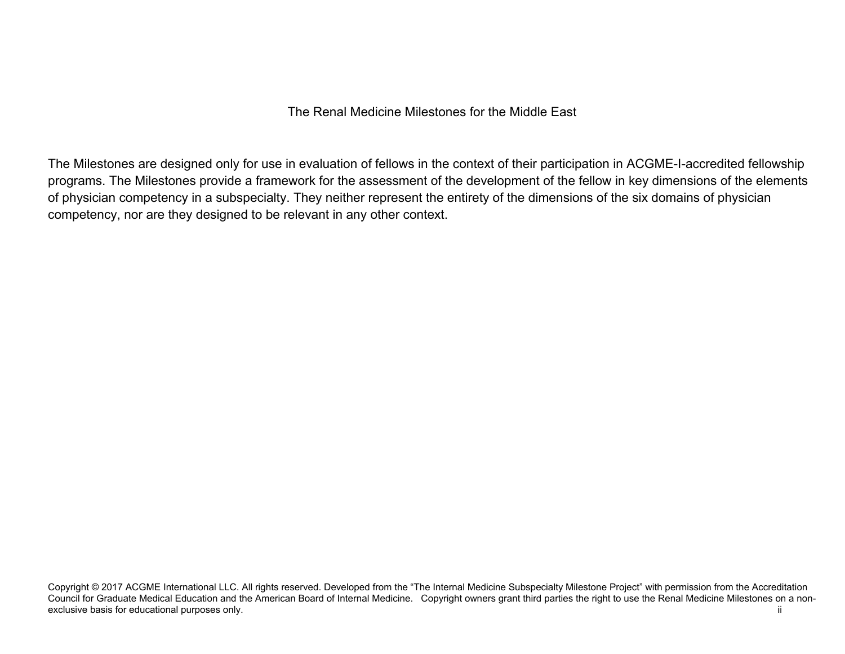The Milestones are designed only for use in evaluation of fellows in the context of their participation in ACGME-I-accredited fellowship programs. The Milestones provide a framework for the assessment of the development of the fellow in key dimensions of the elements of physician competency in a subspecialty. They neither represent the entirety of the dimensions of the six domains of physician competency, nor are they designed to be relevant in any other context.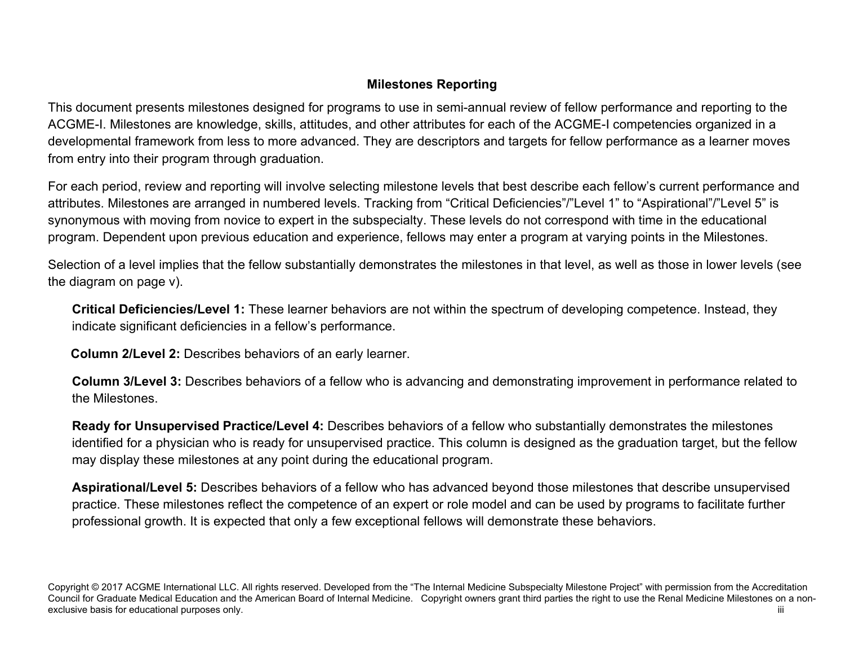## **Milestones Reporting**

This document presents milestones designed for programs to use in semi-annual review of fellow performance and reporting to the ACGME-I. Milestones are knowledge, skills, attitudes, and other attributes for each of the ACGME-I competencies organized in a developmental framework from less to more advanced. They are descriptors and targets for fellow performance as a learner moves from entry into their program through graduation.

For each period, review and reporting will involve selecting milestone levels that best describe each fellow's current performance and attributes. Milestones are arranged in numbered levels. Tracking from "Critical Deficiencies"/"Level 1" to "Aspirational"/"Level 5" is synonymous with moving from novice to expert in the subspecialty. These levels do not correspond with time in the educational program. Dependent upon previous education and experience, fellows may enter a program at varying points in the Milestones.

Selection of a level implies that the fellow substantially demonstrates the milestones in that level, as well as those in lower levels (see the diagram on page v).

**Critical Deficiencies/Level 1:** These learner behaviors are not within the spectrum of developing competence. Instead, they indicate significant deficiencies in a fellow's performance.

 **Column 2/Level 2:** Describes behaviors of an early learner.

**Column 3/Level 3:** Describes behaviors of a fellow who is advancing and demonstrating improvement in performance related to the Milestones.

**Ready for Unsupervised Practice/Level 4:** Describes behaviors of a fellow who substantially demonstrates the milestones identified for a physician who is ready for unsupervised practice. This column is designed as the graduation target, but the fellow may display these milestones at any point during the educational program.

**Aspirational/Level 5:** Describes behaviors of a fellow who has advanced beyond those milestones that describe unsupervised practice. These milestones reflect the competence of an expert or role model and can be used by programs to facilitate further professional growth. It is expected that only a few exceptional fellows will demonstrate these behaviors.

Copyright © 2017 ACGME International LLC. All rights reserved. Developed from the "The Internal Medicine Subspecialty Milestone Project" with permission from the Accreditation Council for Graduate Medical Education and the American Board of Internal Medicine. Copyright owners grant third parties the right to use the Renal Medicine Milestones on a nonexclusive basis for educational purposes only.  $\qquad$  iii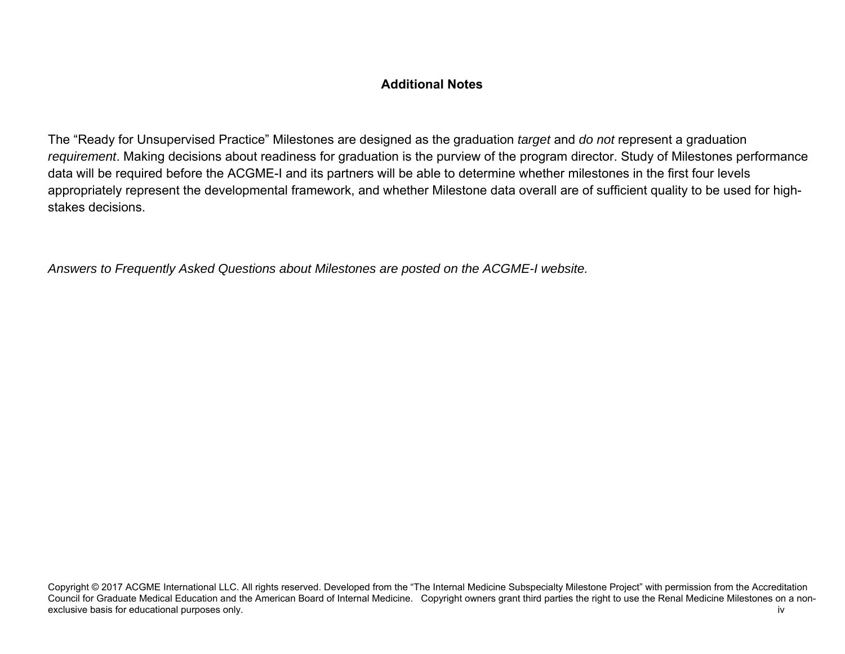## **Additional Notes**

The "Ready for Unsupervised Practice" Milestones are designed as the graduation *target* and *do not* represent a graduation *requirement*. Making decisions about readiness for graduation is the purview of the program director. Study of Milestones performance data will be required before the ACGME-I and its partners will be able to determine whether milestones in the first four levels appropriately represent the developmental framework, and whether Milestone data overall are of sufficient quality to be used for highstakes decisions.

*Answers to Frequently Asked Questions about Milestones are posted on the ACGME-I website.*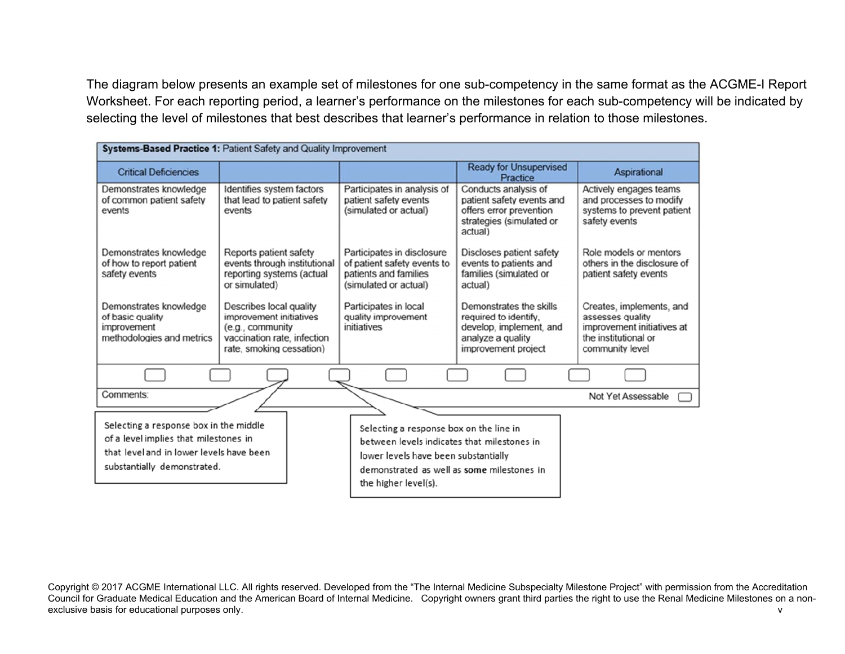The diagram below presents an example set of milestones for one sub-competency in the same format as the ACGME-I Report Worksheet. For each reporting period, a learner's performance on the milestones for each sub-competency will be indicated by selecting the level of milestones that best describes that learner's performance in relation to those milestones.

| Systems-Based Practice 1: Patient Safety and Quality Improvement                                                                                                                                                                                                                                                                                                   |                                                                                                                                   |                                                                                                             |                                                                                                                         |                                                                                                                       |  |  |
|--------------------------------------------------------------------------------------------------------------------------------------------------------------------------------------------------------------------------------------------------------------------------------------------------------------------------------------------------------------------|-----------------------------------------------------------------------------------------------------------------------------------|-------------------------------------------------------------------------------------------------------------|-------------------------------------------------------------------------------------------------------------------------|-----------------------------------------------------------------------------------------------------------------------|--|--|
| <b>Critical Deficiencies</b>                                                                                                                                                                                                                                                                                                                                       |                                                                                                                                   |                                                                                                             | <b>Ready for Unsupervised</b><br>Practice                                                                               | Aspirational                                                                                                          |  |  |
| Demonstrates knowledge<br>of common patient safety<br>events                                                                                                                                                                                                                                                                                                       | Identifies system factors<br>that lead to patient safety<br>events                                                                | Participates in analysis of<br>patient safety events<br>(simulated or actual)                               | Conducts analysis of<br>patient safety events and<br>offers error prevention<br>strategies (simulated or<br>actual)     | Actively engages teams<br>and processes to modify<br>systems to prevent patient<br>safety events                      |  |  |
| Demonstrates knowledge<br>of how to report patient<br>safety events                                                                                                                                                                                                                                                                                                | Reports patient safety<br>events through institutional<br>reporting systems (actual<br>or simulated)                              | Participates in disclosure<br>of patient safety events to<br>patients and families<br>(simulated or actual) | Discloses patient safety<br>events to patients and<br>families (simulated or<br>actual)                                 | Role models or mentors<br>others in the disclosure of<br>patient safety events                                        |  |  |
| Demonstrates knowledge<br>of basic quality<br>improvement<br>methodologies and metrics                                                                                                                                                                                                                                                                             | Describes local quality<br>improvement initiatives<br>(e.g., community<br>vaccination rate, infection<br>rate, smoking cessation) | Participates in local<br>quality improvement<br>initiatives                                                 | Demonstrates the skills<br>required to identify.<br>develop, implement, and<br>analyze a quality<br>improvement project | Creates, implements, and<br>assesses quality<br>improvement initiatives at<br>the institutional or<br>community level |  |  |
|                                                                                                                                                                                                                                                                                                                                                                    |                                                                                                                                   |                                                                                                             |                                                                                                                         |                                                                                                                       |  |  |
| Comments:                                                                                                                                                                                                                                                                                                                                                          |                                                                                                                                   |                                                                                                             |                                                                                                                         | Not Yet Assessable                                                                                                    |  |  |
| Selecting a response box in the middle<br>Selecting a response box on the line in<br>of a level implies that milestones in<br>between levels indicates that milestones in<br>that level and in lower levels have been<br>lower levels have been substantially<br>substantially demonstrated.<br>demonstrated as well as some milestones in<br>the higher level(s). |                                                                                                                                   |                                                                                                             |                                                                                                                         |                                                                                                                       |  |  |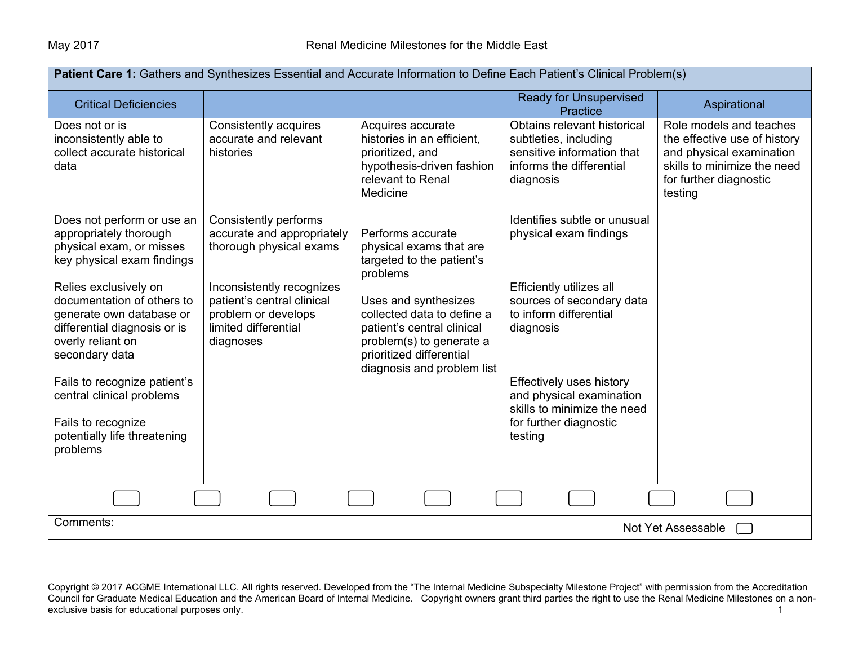| Patient Care 1: Gathers and Synthesizes Essential and Accurate Information to Define Each Patient's Clinical Problem(s)                                |                                                                                                                     |                                                                                                                                                                        |                                                                                                                             |                                                                                                                                                         |  |  |  |
|--------------------------------------------------------------------------------------------------------------------------------------------------------|---------------------------------------------------------------------------------------------------------------------|------------------------------------------------------------------------------------------------------------------------------------------------------------------------|-----------------------------------------------------------------------------------------------------------------------------|---------------------------------------------------------------------------------------------------------------------------------------------------------|--|--|--|
| <b>Critical Deficiencies</b>                                                                                                                           |                                                                                                                     |                                                                                                                                                                        | <b>Ready for Unsupervised</b><br>Practice                                                                                   | Aspirational                                                                                                                                            |  |  |  |
| Does not or is<br>inconsistently able to<br>collect accurate historical<br>data                                                                        | Consistently acquires<br>accurate and relevant<br>histories                                                         | Acquires accurate<br>histories in an efficient,<br>prioritized, and<br>hypothesis-driven fashion<br>relevant to Renal<br>Medicine                                      | Obtains relevant historical<br>subtleties, including<br>sensitive information that<br>informs the differential<br>diagnosis | Role models and teaches<br>the effective use of history<br>and physical examination<br>skills to minimize the need<br>for further diagnostic<br>testing |  |  |  |
| Does not perform or use an<br>appropriately thorough<br>physical exam, or misses<br>key physical exam findings                                         | Consistently performs<br>accurate and appropriately<br>thorough physical exams                                      | Performs accurate<br>physical exams that are<br>targeted to the patient's<br>problems                                                                                  | Identifies subtle or unusual<br>physical exam findings                                                                      |                                                                                                                                                         |  |  |  |
| Relies exclusively on<br>documentation of others to<br>generate own database or<br>differential diagnosis or is<br>overly reliant on<br>secondary data | Inconsistently recognizes<br>patient's central clinical<br>problem or develops<br>limited differential<br>diagnoses | Uses and synthesizes<br>collected data to define a<br>patient's central clinical<br>problem(s) to generate a<br>prioritized differential<br>diagnosis and problem list | Efficiently utilizes all<br>sources of secondary data<br>to inform differential<br>diagnosis                                |                                                                                                                                                         |  |  |  |
| Fails to recognize patient's<br>central clinical problems<br>Fails to recognize<br>potentially life threatening<br>problems                            |                                                                                                                     |                                                                                                                                                                        | Effectively uses history<br>and physical examination<br>skills to minimize the need<br>for further diagnostic<br>testing    |                                                                                                                                                         |  |  |  |
|                                                                                                                                                        |                                                                                                                     |                                                                                                                                                                        |                                                                                                                             |                                                                                                                                                         |  |  |  |
| Comments:                                                                                                                                              | Not Yet Assessable                                                                                                  |                                                                                                                                                                        |                                                                                                                             |                                                                                                                                                         |  |  |  |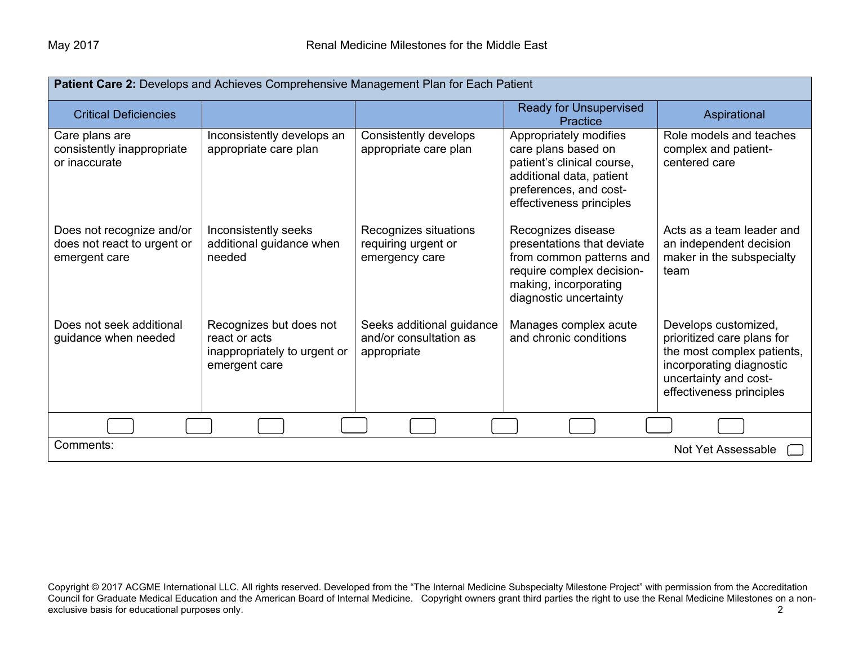| Patient Care 2: Develops and Achieves Comprehensive Management Plan for Each Patient |                                                                                           |                                                                    |                                                                                                                                                               |                                                                                                                                                                   |  |
|--------------------------------------------------------------------------------------|-------------------------------------------------------------------------------------------|--------------------------------------------------------------------|---------------------------------------------------------------------------------------------------------------------------------------------------------------|-------------------------------------------------------------------------------------------------------------------------------------------------------------------|--|
| <b>Critical Deficiencies</b>                                                         |                                                                                           |                                                                    | <b>Ready for Unsupervised</b><br>Practice                                                                                                                     | Aspirational                                                                                                                                                      |  |
| Care plans are<br>consistently inappropriate<br>or inaccurate                        | Inconsistently develops an<br>appropriate care plan                                       | Consistently develops<br>appropriate care plan                     | Appropriately modifies<br>care plans based on<br>patient's clinical course,<br>additional data, patient<br>preferences, and cost-<br>effectiveness principles | Role models and teaches<br>complex and patient-<br>centered care                                                                                                  |  |
| Does not recognize and/or<br>does not react to urgent or<br>emergent care            | Inconsistently seeks<br>additional guidance when<br>needed                                | Recognizes situations<br>requiring urgent or<br>emergency care     | Recognizes disease<br>presentations that deviate<br>from common patterns and<br>require complex decision-<br>making, incorporating<br>diagnostic uncertainty  | Acts as a team leader and<br>an independent decision<br>maker in the subspecialty<br>team                                                                         |  |
| Does not seek additional<br>guidance when needed                                     | Recognizes but does not<br>react or acts<br>inappropriately to urgent or<br>emergent care | Seeks additional guidance<br>and/or consultation as<br>appropriate | Manages complex acute<br>and chronic conditions                                                                                                               | Develops customized,<br>prioritized care plans for<br>the most complex patients,<br>incorporating diagnostic<br>uncertainty and cost-<br>effectiveness principles |  |
|                                                                                      |                                                                                           |                                                                    |                                                                                                                                                               |                                                                                                                                                                   |  |
| Comments:<br>Not Yet Assessable                                                      |                                                                                           |                                                                    |                                                                                                                                                               |                                                                                                                                                                   |  |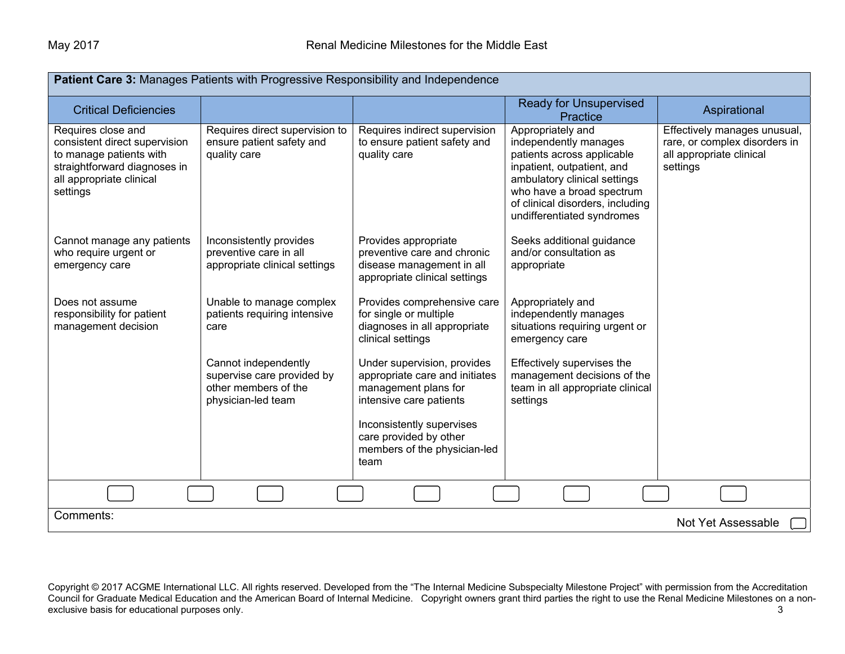| <b>Patient Care 3: Manages Patients with Progressive Responsibility and Independence</b>                                                               |                                                                                                  |                                                                                                                   |                                                                                                                                                                                                                                       |                                                                                                       |  |
|--------------------------------------------------------------------------------------------------------------------------------------------------------|--------------------------------------------------------------------------------------------------|-------------------------------------------------------------------------------------------------------------------|---------------------------------------------------------------------------------------------------------------------------------------------------------------------------------------------------------------------------------------|-------------------------------------------------------------------------------------------------------|--|
| <b>Critical Deficiencies</b>                                                                                                                           |                                                                                                  |                                                                                                                   | <b>Ready for Unsupervised</b><br>Practice                                                                                                                                                                                             | Aspirational                                                                                          |  |
| Requires close and<br>consistent direct supervision<br>to manage patients with<br>straightforward diagnoses in<br>all appropriate clinical<br>settings | Requires direct supervision to<br>ensure patient safety and<br>quality care                      | Requires indirect supervision<br>to ensure patient safety and<br>quality care                                     | Appropriately and<br>independently manages<br>patients across applicable<br>inpatient, outpatient, and<br>ambulatory clinical settings<br>who have a broad spectrum<br>of clinical disorders, including<br>undifferentiated syndromes | Effectively manages unusual,<br>rare, or complex disorders in<br>all appropriate clinical<br>settings |  |
| Cannot manage any patients<br>who require urgent or<br>emergency care                                                                                  | Inconsistently provides<br>preventive care in all<br>appropriate clinical settings               | Provides appropriate<br>preventive care and chronic<br>disease management in all<br>appropriate clinical settings | Seeks additional guidance<br>and/or consultation as<br>appropriate                                                                                                                                                                    |                                                                                                       |  |
| Does not assume<br>responsibility for patient<br>management decision                                                                                   | Unable to manage complex<br>patients requiring intensive<br>care                                 | Provides comprehensive care<br>for single or multiple<br>diagnoses in all appropriate<br>clinical settings        | Appropriately and<br>independently manages<br>situations requiring urgent or<br>emergency care                                                                                                                                        |                                                                                                       |  |
|                                                                                                                                                        | Cannot independently<br>supervise care provided by<br>other members of the<br>physician-led team | Under supervision, provides<br>appropriate care and initiates<br>management plans for<br>intensive care patients  | Effectively supervises the<br>management decisions of the<br>team in all appropriate clinical<br>settings                                                                                                                             |                                                                                                       |  |
|                                                                                                                                                        |                                                                                                  | Inconsistently supervises<br>care provided by other<br>members of the physician-led<br>team                       |                                                                                                                                                                                                                                       |                                                                                                       |  |
|                                                                                                                                                        |                                                                                                  |                                                                                                                   |                                                                                                                                                                                                                                       |                                                                                                       |  |
| Comments:<br>Not Yet Assessable                                                                                                                        |                                                                                                  |                                                                                                                   |                                                                                                                                                                                                                                       |                                                                                                       |  |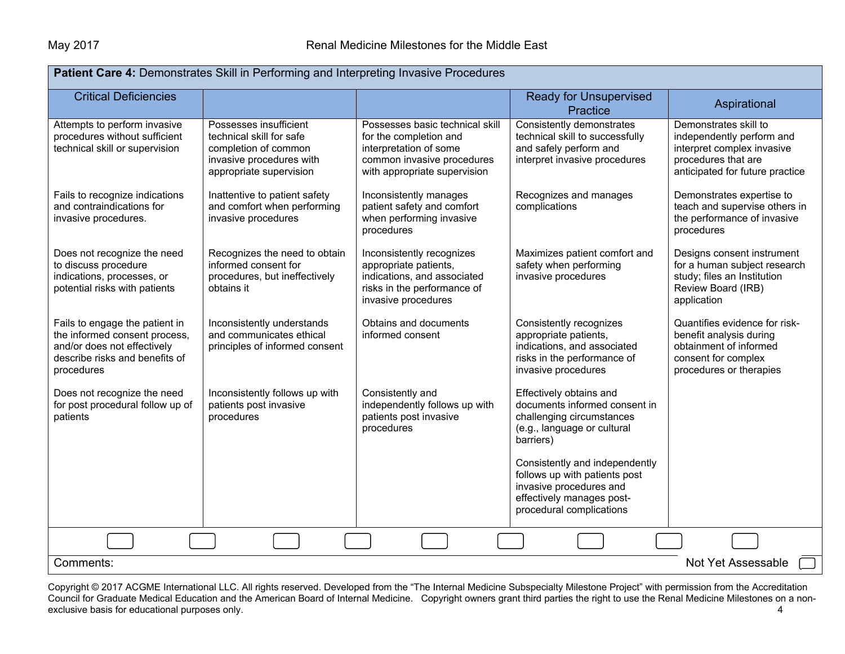| Patient Care 4: Demonstrates Skill in Performing and Interpreting Invasive Procedures                                                          |                                                                                                                                   |                                                                                                                                                   |                                                                                                                                                     |                                                                                                                                            |  |  |  |
|------------------------------------------------------------------------------------------------------------------------------------------------|-----------------------------------------------------------------------------------------------------------------------------------|---------------------------------------------------------------------------------------------------------------------------------------------------|-----------------------------------------------------------------------------------------------------------------------------------------------------|--------------------------------------------------------------------------------------------------------------------------------------------|--|--|--|
| <b>Critical Deficiencies</b>                                                                                                                   |                                                                                                                                   |                                                                                                                                                   | <b>Ready for Unsupervised</b><br>Practice                                                                                                           | Aspirational                                                                                                                               |  |  |  |
| Attempts to perform invasive<br>procedures without sufficient<br>technical skill or supervision                                                | Possesses insufficient<br>technical skill for safe<br>completion of common<br>invasive procedures with<br>appropriate supervision | Possesses basic technical skill<br>for the completion and<br>interpretation of some<br>common invasive procedures<br>with appropriate supervision | Consistently demonstrates<br>technical skill to successfully<br>and safely perform and<br>interpret invasive procedures                             | Demonstrates skill to<br>independently perform and<br>interpret complex invasive<br>procedures that are<br>anticipated for future practice |  |  |  |
| Fails to recognize indications<br>and contraindications for<br>invasive procedures.                                                            | Inattentive to patient safety<br>and comfort when performing<br>invasive procedures                                               | Inconsistently manages<br>patient safety and comfort<br>when performing invasive<br>procedures                                                    | Recognizes and manages<br>complications                                                                                                             | Demonstrates expertise to<br>teach and supervise others in<br>the performance of invasive<br>procedures                                    |  |  |  |
| Does not recognize the need<br>to discuss procedure<br>indications, processes, or<br>potential risks with patients                             | Recognizes the need to obtain<br>informed consent for<br>procedures, but ineffectively<br>obtains it                              | Inconsistently recognizes<br>appropriate patients,<br>indications, and associated<br>risks in the performance of<br>invasive procedures           | Maximizes patient comfort and<br>safety when performing<br>invasive procedures                                                                      | Designs consent instrument<br>for a human subject research<br>study; files an Institution<br>Review Board (IRB)<br>application             |  |  |  |
| Fails to engage the patient in<br>the informed consent process,<br>and/or does not effectively<br>describe risks and benefits of<br>procedures | Inconsistently understands<br>and communicates ethical<br>principles of informed consent                                          | Obtains and documents<br>informed consent                                                                                                         | Consistently recognizes<br>appropriate patients,<br>indications, and associated<br>risks in the performance of<br>invasive procedures               | Quantifies evidence for risk-<br>benefit analysis during<br>obtainment of informed<br>consent for complex<br>procedures or therapies       |  |  |  |
| Does not recognize the need<br>for post procedural follow up of<br>patients                                                                    | Inconsistently follows up with<br>patients post invasive<br>procedures                                                            | Consistently and<br>independently follows up with<br>patients post invasive<br>procedures                                                         | Effectively obtains and<br>documents informed consent in<br>challenging circumstances<br>(e.g., language or cultural<br>barriers)                   |                                                                                                                                            |  |  |  |
|                                                                                                                                                |                                                                                                                                   |                                                                                                                                                   | Consistently and independently<br>follows up with patients post<br>invasive procedures and<br>effectively manages post-<br>procedural complications |                                                                                                                                            |  |  |  |
|                                                                                                                                                |                                                                                                                                   |                                                                                                                                                   |                                                                                                                                                     |                                                                                                                                            |  |  |  |
| Not Yet Assessable<br>Comments:                                                                                                                |                                                                                                                                   |                                                                                                                                                   |                                                                                                                                                     |                                                                                                                                            |  |  |  |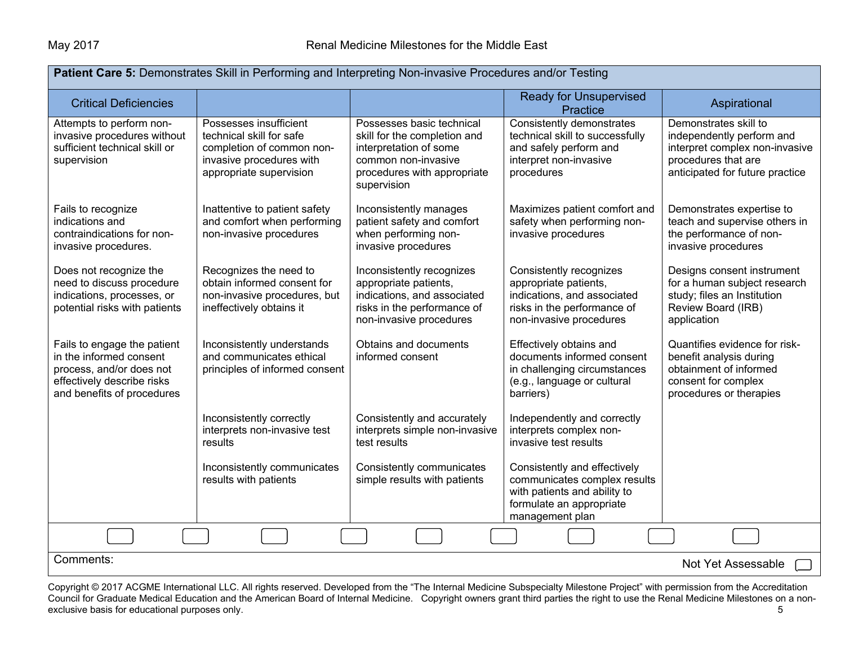| Patient Care 5: Demonstrates Skill in Performing and Interpreting Non-invasive Procedures and/or Testing                                       |                                                                                                                                        |                                                                                                                                                          |                                                                                                                                             |                                                                                                                                                |  |  |
|------------------------------------------------------------------------------------------------------------------------------------------------|----------------------------------------------------------------------------------------------------------------------------------------|----------------------------------------------------------------------------------------------------------------------------------------------------------|---------------------------------------------------------------------------------------------------------------------------------------------|------------------------------------------------------------------------------------------------------------------------------------------------|--|--|
| <b>Critical Deficiencies</b>                                                                                                                   |                                                                                                                                        |                                                                                                                                                          | <b>Ready for Unsupervised</b><br>Practice                                                                                                   | Aspirational                                                                                                                                   |  |  |
| Attempts to perform non-<br>invasive procedures without<br>sufficient technical skill or<br>supervision                                        | Possesses insufficient<br>technical skill for safe<br>completion of common non-<br>invasive procedures with<br>appropriate supervision | Possesses basic technical<br>skill for the completion and<br>interpretation of some<br>common non-invasive<br>procedures with appropriate<br>supervision | Consistently demonstrates<br>technical skill to successfully<br>and safely perform and<br>interpret non-invasive<br>procedures              | Demonstrates skill to<br>independently perform and<br>interpret complex non-invasive<br>procedures that are<br>anticipated for future practice |  |  |
| Fails to recognize<br>indications and<br>contraindications for non-<br>invasive procedures.                                                    | Inattentive to patient safety<br>and comfort when performing<br>non-invasive procedures                                                | Inconsistently manages<br>patient safety and comfort<br>when performing non-<br>invasive procedures                                                      | Maximizes patient comfort and<br>safety when performing non-<br>invasive procedures                                                         | Demonstrates expertise to<br>teach and supervise others in<br>the performance of non-<br>invasive procedures                                   |  |  |
| Does not recognize the<br>need to discuss procedure<br>indications, processes, or<br>potential risks with patients                             | Recognizes the need to<br>obtain informed consent for<br>non-invasive procedures, but<br>ineffectively obtains it                      | Inconsistently recognizes<br>appropriate patients,<br>indications, and associated<br>risks in the performance of<br>non-invasive procedures              | Consistently recognizes<br>appropriate patients,<br>indications, and associated<br>risks in the performance of<br>non-invasive procedures   | Designs consent instrument<br>for a human subject research<br>study; files an Institution<br>Review Board (IRB)<br>application                 |  |  |
| Fails to engage the patient<br>in the informed consent<br>process, and/or does not<br>effectively describe risks<br>and benefits of procedures | Inconsistently understands<br>and communicates ethical<br>principles of informed consent                                               | Obtains and documents<br>informed consent                                                                                                                | Effectively obtains and<br>documents informed consent<br>in challenging circumstances<br>(e.g., language or cultural<br>barriers)           | Quantifies evidence for risk-<br>benefit analysis during<br>obtainment of informed<br>consent for complex<br>procedures or therapies           |  |  |
|                                                                                                                                                | Inconsistently correctly<br>interprets non-invasive test<br>results                                                                    | Consistently and accurately<br>interprets simple non-invasive<br>test results                                                                            | Independently and correctly<br>interprets complex non-<br>invasive test results                                                             |                                                                                                                                                |  |  |
|                                                                                                                                                | Inconsistently communicates<br>results with patients                                                                                   | Consistently communicates<br>simple results with patients                                                                                                | Consistently and effectively<br>communicates complex results<br>with patients and ability to<br>formulate an appropriate<br>management plan |                                                                                                                                                |  |  |
|                                                                                                                                                |                                                                                                                                        |                                                                                                                                                          |                                                                                                                                             |                                                                                                                                                |  |  |
| Comments:<br>Not Yet Assessable                                                                                                                |                                                                                                                                        |                                                                                                                                                          |                                                                                                                                             |                                                                                                                                                |  |  |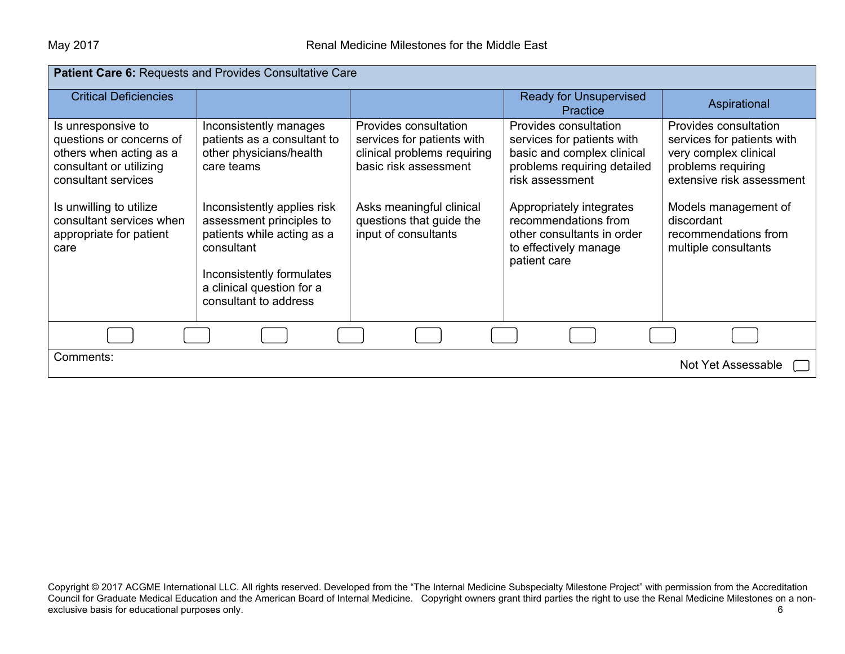| Patient Care 6: Requests and Provides Consultative Care                                                                                                                                                               |                                                                                                                                                                                                                                                                 |                                                                                                                                                                                             |                                                                                                                                                                                                                                                                |                                                                                                                                                                                                                       |  |  |
|-----------------------------------------------------------------------------------------------------------------------------------------------------------------------------------------------------------------------|-----------------------------------------------------------------------------------------------------------------------------------------------------------------------------------------------------------------------------------------------------------------|---------------------------------------------------------------------------------------------------------------------------------------------------------------------------------------------|----------------------------------------------------------------------------------------------------------------------------------------------------------------------------------------------------------------------------------------------------------------|-----------------------------------------------------------------------------------------------------------------------------------------------------------------------------------------------------------------------|--|--|
| <b>Critical Deficiencies</b>                                                                                                                                                                                          |                                                                                                                                                                                                                                                                 |                                                                                                                                                                                             | <b>Ready for Unsupervised</b><br><b>Practice</b>                                                                                                                                                                                                               | Aspirational                                                                                                                                                                                                          |  |  |
| Is unresponsive to<br>questions or concerns of<br>others when acting as a<br>consultant or utilizing<br>consultant services<br>Is unwilling to utilize<br>consultant services when<br>appropriate for patient<br>care | Inconsistently manages<br>patients as a consultant to<br>other physicians/health<br>care teams<br>Inconsistently applies risk<br>assessment principles to<br>patients while acting as a<br>consultant<br>Inconsistently formulates<br>a clinical question for a | Provides consultation<br>services for patients with<br>clinical problems requiring<br>basic risk assessment<br>Asks meaningful clinical<br>questions that guide the<br>input of consultants | Provides consultation<br>services for patients with<br>basic and complex clinical<br>problems requiring detailed<br>risk assessment<br>Appropriately integrates<br>recommendations from<br>other consultants in order<br>to effectively manage<br>patient care | Provides consultation<br>services for patients with<br>very complex clinical<br>problems requiring<br>extensive risk assessment<br>Models management of<br>discordant<br>recommendations from<br>multiple consultants |  |  |
|                                                                                                                                                                                                                       | consultant to address                                                                                                                                                                                                                                           |                                                                                                                                                                                             |                                                                                                                                                                                                                                                                |                                                                                                                                                                                                                       |  |  |
| Comments:<br>Not Yet Assessable                                                                                                                                                                                       |                                                                                                                                                                                                                                                                 |                                                                                                                                                                                             |                                                                                                                                                                                                                                                                |                                                                                                                                                                                                                       |  |  |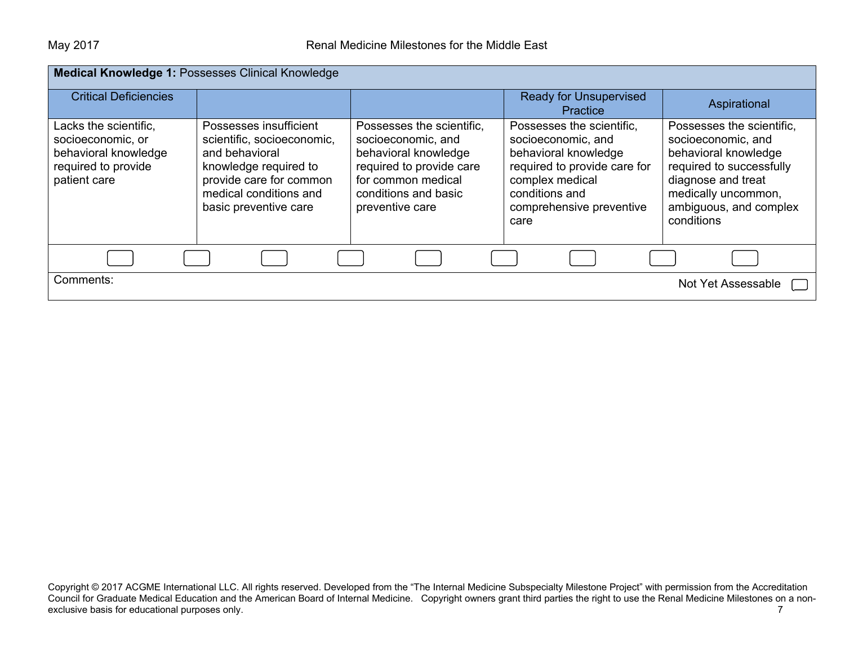| Medical Knowledge 1: Possesses Clinical Knowledge                                                         |                                                                                                                                                                               |                                                                                                                                                                      |                                                                                                                                                                                  |                                                                                                                                                                                          |  |
|-----------------------------------------------------------------------------------------------------------|-------------------------------------------------------------------------------------------------------------------------------------------------------------------------------|----------------------------------------------------------------------------------------------------------------------------------------------------------------------|----------------------------------------------------------------------------------------------------------------------------------------------------------------------------------|------------------------------------------------------------------------------------------------------------------------------------------------------------------------------------------|--|
| <b>Critical Deficiencies</b>                                                                              |                                                                                                                                                                               |                                                                                                                                                                      | <b>Ready for Unsupervised</b><br>Practice                                                                                                                                        | Aspirational                                                                                                                                                                             |  |
| Lacks the scientific,<br>socioeconomic, or<br>behavioral knowledge<br>required to provide<br>patient care | Possesses insufficient<br>scientific, socioeconomic,<br>and behavioral<br>knowledge required to<br>provide care for common<br>medical conditions and<br>basic preventive care | Possesses the scientific,<br>socioeconomic, and<br>behavioral knowledge<br>required to provide care<br>for common medical<br>conditions and basic<br>preventive care | Possesses the scientific,<br>socioeconomic, and<br>behavioral knowledge<br>required to provide care for<br>complex medical<br>conditions and<br>comprehensive preventive<br>care | Possesses the scientific,<br>socioeconomic, and<br>behavioral knowledge<br>required to successfully<br>diagnose and treat<br>medically uncommon,<br>ambiguous, and complex<br>conditions |  |
|                                                                                                           |                                                                                                                                                                               |                                                                                                                                                                      |                                                                                                                                                                                  |                                                                                                                                                                                          |  |
| Comments:                                                                                                 |                                                                                                                                                                               |                                                                                                                                                                      |                                                                                                                                                                                  | Not Yet Assessable                                                                                                                                                                       |  |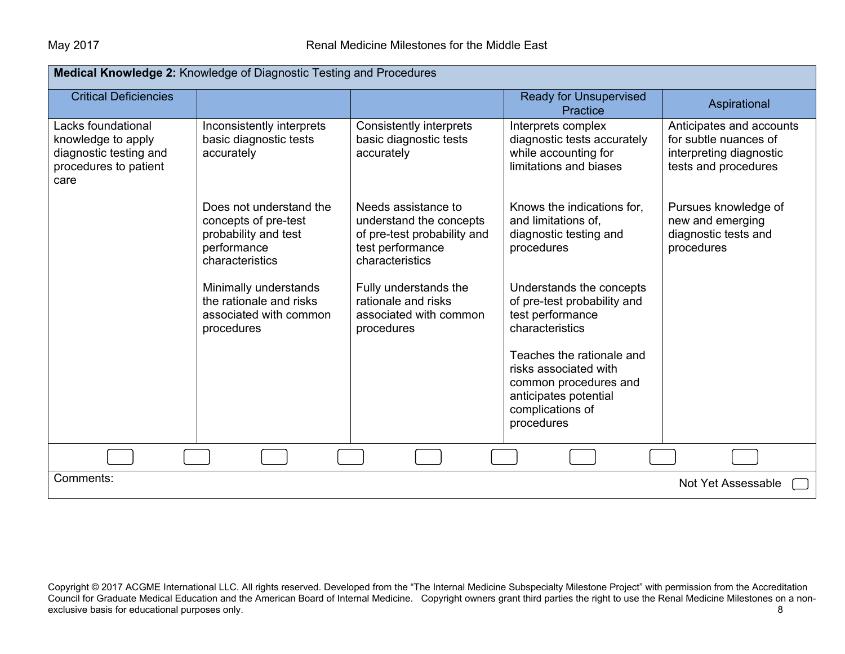| Medical Knowledge 2: Knowledge of Diagnostic Testing and Procedures                                 |                                                                                                           |                                                                                                                      |                                                                                                                                        |                                                                                                      |  |  |
|-----------------------------------------------------------------------------------------------------|-----------------------------------------------------------------------------------------------------------|----------------------------------------------------------------------------------------------------------------------|----------------------------------------------------------------------------------------------------------------------------------------|------------------------------------------------------------------------------------------------------|--|--|
| <b>Critical Deficiencies</b>                                                                        |                                                                                                           |                                                                                                                      | <b>Ready for Unsupervised</b><br><b>Practice</b>                                                                                       | Aspirational                                                                                         |  |  |
| Lacks foundational<br>knowledge to apply<br>diagnostic testing and<br>procedures to patient<br>care | Inconsistently interprets<br>basic diagnostic tests<br>accurately                                         | <b>Consistently interprets</b><br>basic diagnostic tests<br>accurately                                               | Interprets complex<br>diagnostic tests accurately<br>while accounting for<br>limitations and biases                                    | Anticipates and accounts<br>for subtle nuances of<br>interpreting diagnostic<br>tests and procedures |  |  |
|                                                                                                     | Does not understand the<br>concepts of pre-test<br>probability and test<br>performance<br>characteristics | Needs assistance to<br>understand the concepts<br>of pre-test probability and<br>test performance<br>characteristics | Knows the indications for,<br>and limitations of,<br>diagnostic testing and<br>procedures                                              | Pursues knowledge of<br>new and emerging<br>diagnostic tests and<br>procedures                       |  |  |
|                                                                                                     | Minimally understands<br>the rationale and risks<br>associated with common<br>procedures                  | Fully understands the<br>rationale and risks<br>associated with common<br>procedures                                 | Understands the concepts<br>of pre-test probability and<br>test performance<br>characteristics                                         |                                                                                                      |  |  |
|                                                                                                     |                                                                                                           |                                                                                                                      | Teaches the rationale and<br>risks associated with<br>common procedures and<br>anticipates potential<br>complications of<br>procedures |                                                                                                      |  |  |
|                                                                                                     |                                                                                                           |                                                                                                                      |                                                                                                                                        |                                                                                                      |  |  |
| Comments:<br>Not Yet Assessable                                                                     |                                                                                                           |                                                                                                                      |                                                                                                                                        |                                                                                                      |  |  |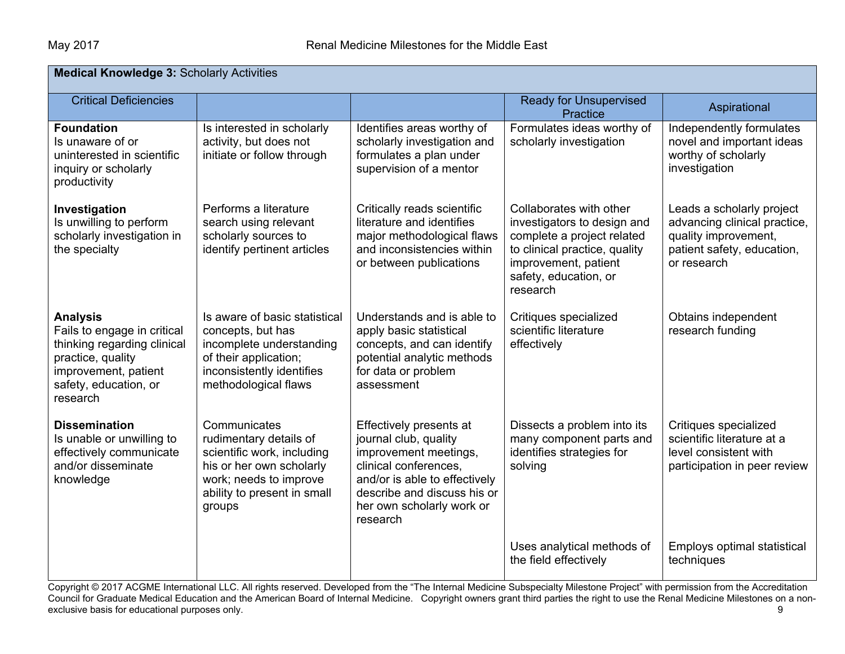| <b>Medical Knowledge 3: Scholarly Activities</b>                                                                                                                |                                                                                                                                                                     |                                                                                                                                                                                                             |                                                                                                                                                                                    |                                                                                                                                |  |  |
|-----------------------------------------------------------------------------------------------------------------------------------------------------------------|---------------------------------------------------------------------------------------------------------------------------------------------------------------------|-------------------------------------------------------------------------------------------------------------------------------------------------------------------------------------------------------------|------------------------------------------------------------------------------------------------------------------------------------------------------------------------------------|--------------------------------------------------------------------------------------------------------------------------------|--|--|
| <b>Critical Deficiencies</b>                                                                                                                                    |                                                                                                                                                                     |                                                                                                                                                                                                             | <b>Ready for Unsupervised</b><br>Practice                                                                                                                                          | Aspirational                                                                                                                   |  |  |
| <b>Foundation</b><br>Is unaware of or<br>uninterested in scientific<br>inquiry or scholarly<br>productivity                                                     | Is interested in scholarly<br>activity, but does not<br>initiate or follow through                                                                                  | Identifies areas worthy of<br>scholarly investigation and<br>formulates a plan under<br>supervision of a mentor                                                                                             | Formulates ideas worthy of<br>scholarly investigation                                                                                                                              | Independently formulates<br>novel and important ideas<br>worthy of scholarly<br>investigation                                  |  |  |
| Investigation<br>Is unwilling to perform<br>scholarly investigation in<br>the specialty                                                                         | Performs a literature<br>search using relevant<br>scholarly sources to<br>identify pertinent articles                                                               | Critically reads scientific<br>literature and identifies<br>major methodological flaws<br>and inconsistencies within<br>or between publications                                                             | Collaborates with other<br>investigators to design and<br>complete a project related<br>to clinical practice, quality<br>improvement, patient<br>safety, education, or<br>research | Leads a scholarly project<br>advancing clinical practice,<br>quality improvement,<br>patient safety, education,<br>or research |  |  |
| <b>Analysis</b><br>Fails to engage in critical<br>thinking regarding clinical<br>practice, quality<br>improvement, patient<br>safety, education, or<br>research | Is aware of basic statistical<br>concepts, but has<br>incomplete understanding<br>of their application;<br>inconsistently identifies<br>methodological flaws        | Understands and is able to<br>apply basic statistical<br>concepts, and can identify<br>potential analytic methods<br>for data or problem<br>assessment                                                      | Critiques specialized<br>scientific literature<br>effectively                                                                                                                      | Obtains independent<br>research funding                                                                                        |  |  |
| <b>Dissemination</b><br>Is unable or unwilling to<br>effectively communicate<br>and/or disseminate<br>knowledge                                                 | Communicates<br>rudimentary details of<br>scientific work, including<br>his or her own scholarly<br>work; needs to improve<br>ability to present in small<br>groups | Effectively presents at<br>journal club, quality<br>improvement meetings,<br>clinical conferences,<br>and/or is able to effectively<br>describe and discuss his or<br>her own scholarly work or<br>research | Dissects a problem into its<br>many component parts and<br>identifies strategies for<br>solving                                                                                    | Critiques specialized<br>scientific literature at a<br>level consistent with<br>participation in peer review                   |  |  |
|                                                                                                                                                                 |                                                                                                                                                                     |                                                                                                                                                                                                             | Uses analytical methods of<br>the field effectively                                                                                                                                | Employs optimal statistical<br>techniques                                                                                      |  |  |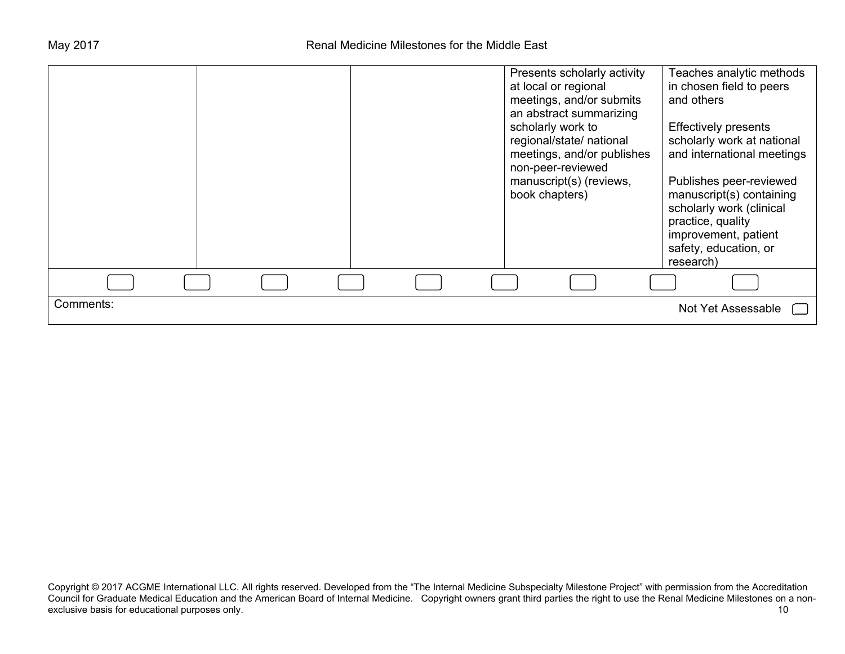|           |  |  | Presents scholarly activity<br>at local or regional<br>meetings, and/or submits<br>an abstract summarizing<br>scholarly work to<br>regional/state/ national<br>meetings, and/or publishes<br>non-peer-reviewed<br>manuscript(s) (reviews,<br>book chapters) | Teaches analytic methods<br>in chosen field to peers<br>and others<br><b>Effectively presents</b><br>scholarly work at national<br>and international meetings<br>Publishes peer-reviewed<br>manuscript(s) containing<br>scholarly work (clinical<br>practice, quality<br>improvement, patient<br>safety, education, or<br>research) |
|-----------|--|--|-------------------------------------------------------------------------------------------------------------------------------------------------------------------------------------------------------------------------------------------------------------|-------------------------------------------------------------------------------------------------------------------------------------------------------------------------------------------------------------------------------------------------------------------------------------------------------------------------------------|
|           |  |  |                                                                                                                                                                                                                                                             |                                                                                                                                                                                                                                                                                                                                     |
| Comments: |  |  |                                                                                                                                                                                                                                                             | Not Yet Assessable                                                                                                                                                                                                                                                                                                                  |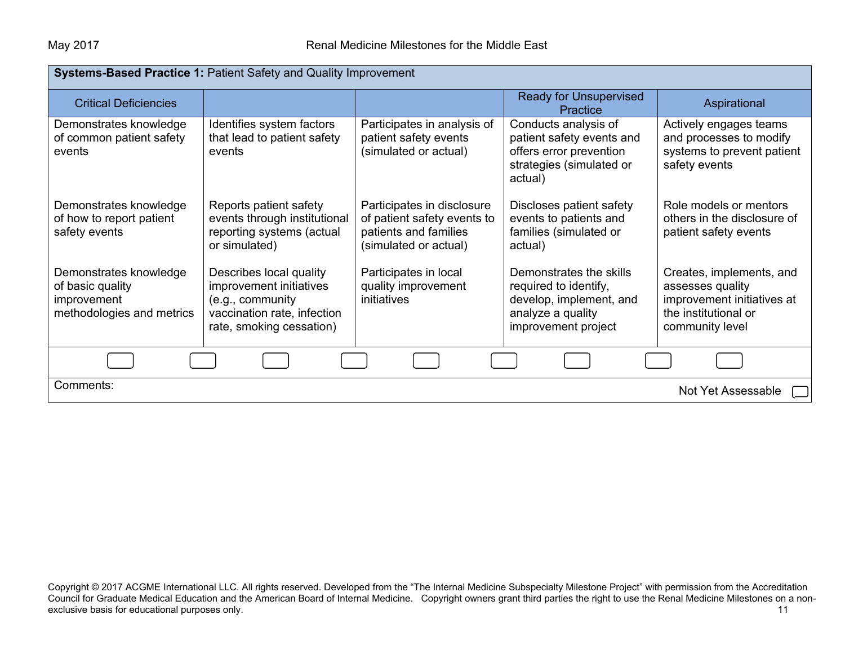| <b>Systems-Based Practice 1: Patient Safety and Quality Improvement</b>                |                                                                                                                                   |                                                                                                             |                                                                                                                         |                                                                                                                       |  |  |  |
|----------------------------------------------------------------------------------------|-----------------------------------------------------------------------------------------------------------------------------------|-------------------------------------------------------------------------------------------------------------|-------------------------------------------------------------------------------------------------------------------------|-----------------------------------------------------------------------------------------------------------------------|--|--|--|
| <b>Critical Deficiencies</b>                                                           |                                                                                                                                   |                                                                                                             | <b>Ready for Unsupervised</b><br><b>Practice</b>                                                                        | Aspirational                                                                                                          |  |  |  |
| Demonstrates knowledge<br>of common patient safety<br>events                           | Identifies system factors<br>that lead to patient safety<br>events                                                                | Participates in analysis of<br>patient safety events<br>(simulated or actual)                               | Conducts analysis of<br>patient safety events and<br>offers error prevention<br>strategies (simulated or<br>actual)     | Actively engages teams<br>and processes to modify<br>systems to prevent patient<br>safety events                      |  |  |  |
| Demonstrates knowledge<br>of how to report patient<br>safety events                    | Reports patient safety<br>events through institutional<br>reporting systems (actual<br>or simulated)                              | Participates in disclosure<br>of patient safety events to<br>patients and families<br>(simulated or actual) | Discloses patient safety<br>events to patients and<br>families (simulated or<br>actual)                                 | Role models or mentors<br>others in the disclosure of<br>patient safety events                                        |  |  |  |
| Demonstrates knowledge<br>of basic quality<br>improvement<br>methodologies and metrics | Describes local quality<br>improvement initiatives<br>(e.g., community<br>vaccination rate, infection<br>rate, smoking cessation) | Participates in local<br>quality improvement<br>initiatives                                                 | Demonstrates the skills<br>required to identify,<br>develop, implement, and<br>analyze a quality<br>improvement project | Creates, implements, and<br>assesses quality<br>improvement initiatives at<br>the institutional or<br>community level |  |  |  |
|                                                                                        |                                                                                                                                   |                                                                                                             |                                                                                                                         |                                                                                                                       |  |  |  |
| Comments:                                                                              | Not Yet Assessable                                                                                                                |                                                                                                             |                                                                                                                         |                                                                                                                       |  |  |  |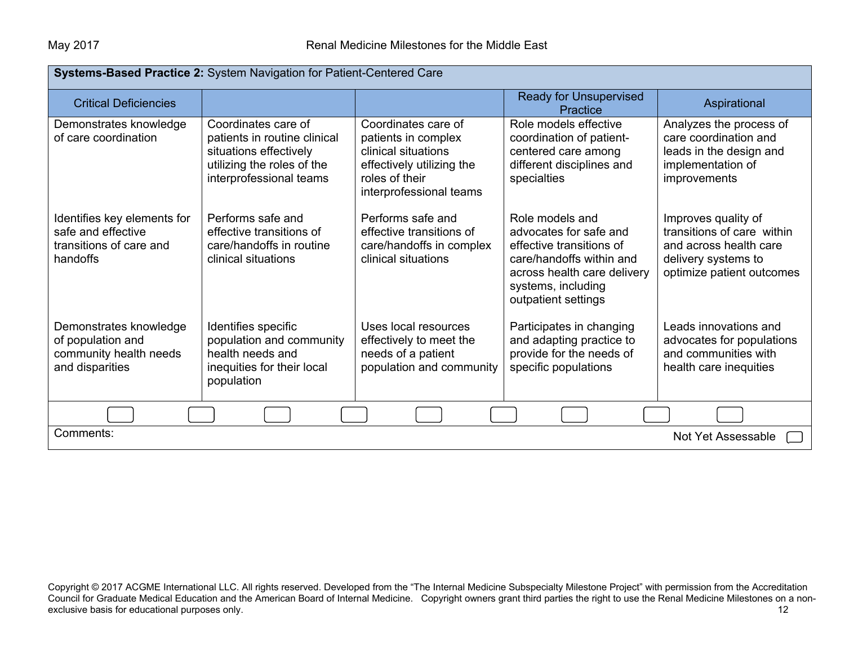| Systems-Based Practice 2: System Navigation for Patient-Centered Care                    |                                                                                                                                        |                                                                                                                                             |                                                                                                                                                                               |                                                                                                                                 |  |
|------------------------------------------------------------------------------------------|----------------------------------------------------------------------------------------------------------------------------------------|---------------------------------------------------------------------------------------------------------------------------------------------|-------------------------------------------------------------------------------------------------------------------------------------------------------------------------------|---------------------------------------------------------------------------------------------------------------------------------|--|
| <b>Critical Deficiencies</b>                                                             |                                                                                                                                        |                                                                                                                                             | <b>Ready for Unsupervised</b><br>Practice                                                                                                                                     | Aspirational                                                                                                                    |  |
| Demonstrates knowledge<br>of care coordination                                           | Coordinates care of<br>patients in routine clinical<br>situations effectively<br>utilizing the roles of the<br>interprofessional teams | Coordinates care of<br>patients in complex<br>clinical situations<br>effectively utilizing the<br>roles of their<br>interprofessional teams | Role models effective<br>coordination of patient-<br>centered care among<br>different disciplines and<br>specialties                                                          | Analyzes the process of<br>care coordination and<br>leads in the design and<br>implementation of<br>improvements                |  |
| Identifies key elements for<br>safe and effective<br>transitions of care and<br>handoffs | Performs safe and<br>effective transitions of<br>care/handoffs in routine<br>clinical situations                                       | Performs safe and<br>effective transitions of<br>care/handoffs in complex<br>clinical situations                                            | Role models and<br>advocates for safe and<br>effective transitions of<br>care/handoffs within and<br>across health care delivery<br>systems, including<br>outpatient settings | Improves quality of<br>transitions of care within<br>and across health care<br>delivery systems to<br>optimize patient outcomes |  |
| Demonstrates knowledge<br>of population and<br>community health needs<br>and disparities | Identifies specific<br>population and community<br>health needs and<br>inequities for their local<br>population                        | Uses local resources<br>effectively to meet the<br>needs of a patient<br>population and community                                           | Participates in changing<br>and adapting practice to<br>provide for the needs of<br>specific populations                                                                      | Leads innovations and<br>advocates for populations<br>and communities with<br>health care inequities                            |  |
|                                                                                          |                                                                                                                                        |                                                                                                                                             |                                                                                                                                                                               |                                                                                                                                 |  |
| Comments:<br><b>Not Yet Assessable</b>                                                   |                                                                                                                                        |                                                                                                                                             |                                                                                                                                                                               |                                                                                                                                 |  |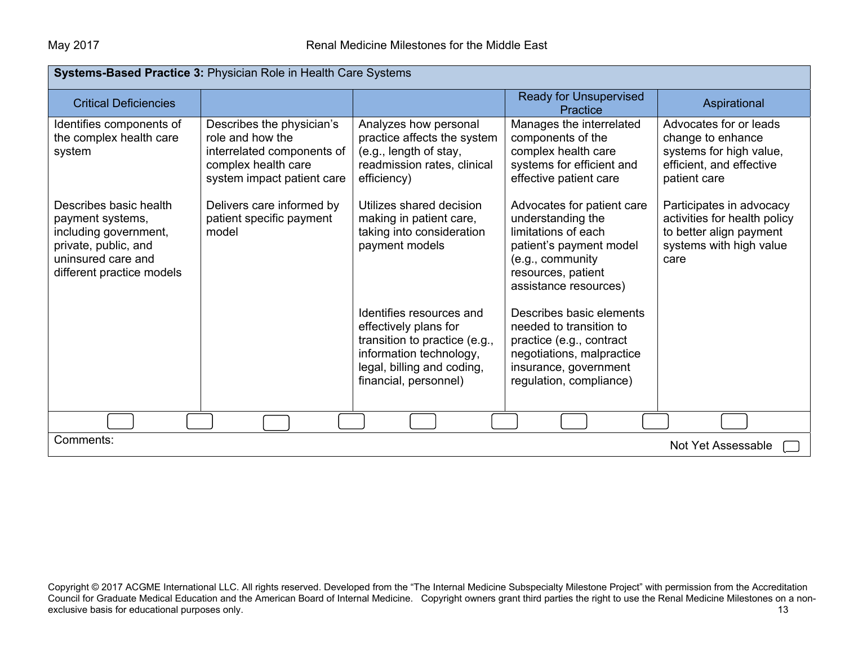| Systems-Based Practice 3: Physician Role in Health Care Systems                                                                                |                                                                                                                                  |                                                                                                                                                                      |                                                                                                                                                                      |                                                                                                                        |  |  |
|------------------------------------------------------------------------------------------------------------------------------------------------|----------------------------------------------------------------------------------------------------------------------------------|----------------------------------------------------------------------------------------------------------------------------------------------------------------------|----------------------------------------------------------------------------------------------------------------------------------------------------------------------|------------------------------------------------------------------------------------------------------------------------|--|--|
| <b>Critical Deficiencies</b>                                                                                                                   |                                                                                                                                  |                                                                                                                                                                      | <b>Ready for Unsupervised</b><br><b>Practice</b>                                                                                                                     | Aspirational                                                                                                           |  |  |
| Identifies components of<br>the complex health care<br>system                                                                                  | Describes the physician's<br>role and how the<br>interrelated components of<br>complex health care<br>system impact patient care | Analyzes how personal<br>practice affects the system<br>(e.g., length of stay,<br>readmission rates, clinical<br>efficiency)                                         | Manages the interrelated<br>components of the<br>complex health care<br>systems for efficient and<br>effective patient care                                          | Advocates for or leads<br>change to enhance<br>systems for high value,<br>efficient, and effective<br>patient care     |  |  |
| Describes basic health<br>payment systems,<br>including government,<br>private, public, and<br>uninsured care and<br>different practice models | Delivers care informed by<br>patient specific payment<br>model                                                                   | Utilizes shared decision<br>making in patient care,<br>taking into consideration<br>payment models                                                                   | Advocates for patient care<br>understanding the<br>limitations of each<br>patient's payment model<br>(e.g., community<br>resources, patient<br>assistance resources) | Participates in advocacy<br>activities for health policy<br>to better align payment<br>systems with high value<br>care |  |  |
|                                                                                                                                                |                                                                                                                                  | Identifies resources and<br>effectively plans for<br>transition to practice (e.g.,<br>information technology,<br>legal, billing and coding,<br>financial, personnel) | Describes basic elements<br>needed to transition to<br>practice (e.g., contract<br>negotiations, malpractice<br>insurance, government<br>regulation, compliance)     |                                                                                                                        |  |  |
|                                                                                                                                                |                                                                                                                                  |                                                                                                                                                                      |                                                                                                                                                                      |                                                                                                                        |  |  |
| Comments:                                                                                                                                      |                                                                                                                                  |                                                                                                                                                                      |                                                                                                                                                                      | Not Yet Assessable                                                                                                     |  |  |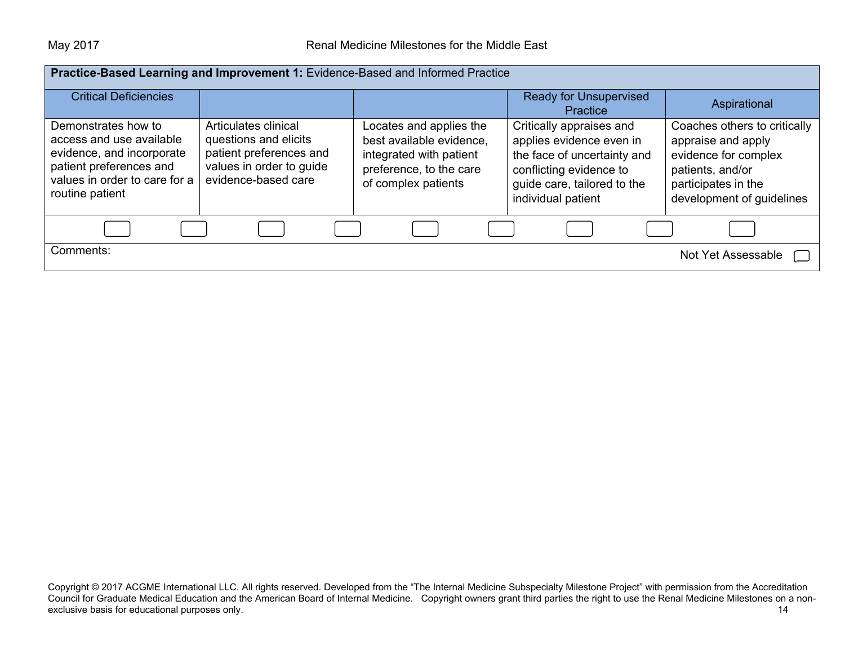| Practice-Based Learning and Improvement 1: Evidence-Based and Informed Practice                                                                             |                                                                                                                             |                                                                                                                                  |                                                                                                                                                                     |                                                                                                                                                    |  |
|-------------------------------------------------------------------------------------------------------------------------------------------------------------|-----------------------------------------------------------------------------------------------------------------------------|----------------------------------------------------------------------------------------------------------------------------------|---------------------------------------------------------------------------------------------------------------------------------------------------------------------|----------------------------------------------------------------------------------------------------------------------------------------------------|--|
|                                                                                                                                                             |                                                                                                                             |                                                                                                                                  |                                                                                                                                                                     |                                                                                                                                                    |  |
| <b>Critical Deficiencies</b>                                                                                                                                |                                                                                                                             |                                                                                                                                  | <b>Ready for Unsupervised</b><br>Practice                                                                                                                           | Aspirational                                                                                                                                       |  |
| Demonstrates how to<br>access and use available<br>evidence, and incorporate<br>patient preferences and<br>values in order to care for a<br>routine patient | Articulates clinical<br>questions and elicits<br>patient preferences and<br>values in order to guide<br>evidence-based care | Locates and applies the<br>best available evidence,<br>integrated with patient<br>preference, to the care<br>of complex patients | Critically appraises and<br>applies evidence even in<br>the face of uncertainty and<br>conflicting evidence to<br>guide care, tailored to the<br>individual patient | Coaches others to critically<br>appraise and apply<br>evidence for complex<br>patients, and/or<br>participates in the<br>development of guidelines |  |
|                                                                                                                                                             |                                                                                                                             |                                                                                                                                  |                                                                                                                                                                     |                                                                                                                                                    |  |
| Comments:                                                                                                                                                   |                                                                                                                             |                                                                                                                                  |                                                                                                                                                                     | Not Yet Assessable                                                                                                                                 |  |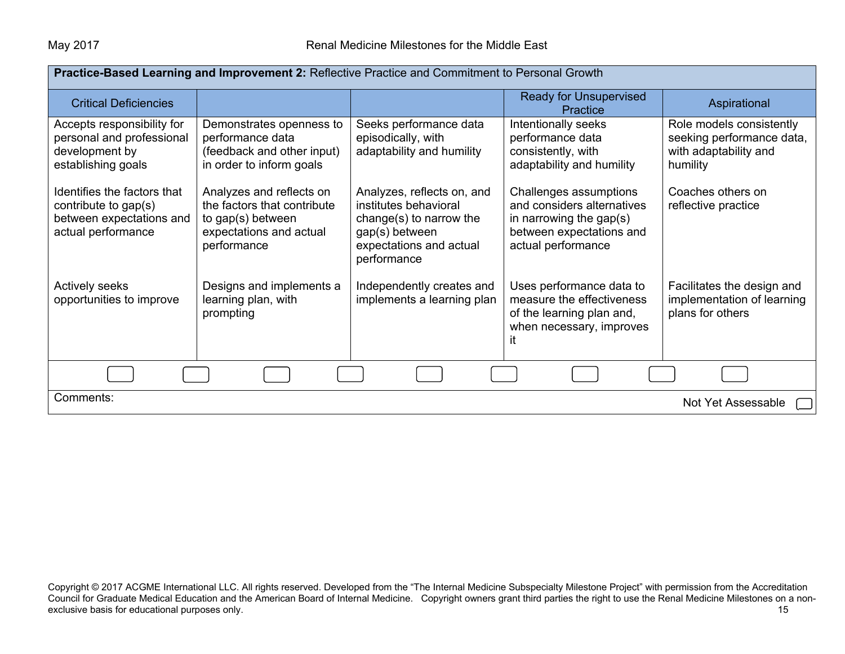| Practice-Based Learning and Improvement 2: Reflective Practice and Commitment to Personal Growth      |                                                                                                                        |                                                                                                                                            |                                                                                                                                      |                                                                                            |  |
|-------------------------------------------------------------------------------------------------------|------------------------------------------------------------------------------------------------------------------------|--------------------------------------------------------------------------------------------------------------------------------------------|--------------------------------------------------------------------------------------------------------------------------------------|--------------------------------------------------------------------------------------------|--|
| <b>Critical Deficiencies</b>                                                                          |                                                                                                                        |                                                                                                                                            | <b>Ready for Unsupervised</b><br>Practice                                                                                            | Aspirational                                                                               |  |
| Accepts responsibility for<br>personal and professional<br>development by<br>establishing goals       | Demonstrates openness to<br>performance data<br>(feedback and other input)<br>in order to inform goals                 | Seeks performance data<br>episodically, with<br>adaptability and humility                                                                  | Intentionally seeks<br>performance data<br>consistently, with<br>adaptability and humility                                           | Role models consistently<br>seeking performance data,<br>with adaptability and<br>humility |  |
| Identifies the factors that<br>contribute to gap(s)<br>between expectations and<br>actual performance | Analyzes and reflects on<br>the factors that contribute<br>to gap(s) between<br>expectations and actual<br>performance | Analyzes, reflects on, and<br>institutes behavioral<br>change(s) to narrow the<br>gap(s) between<br>expectations and actual<br>performance | Challenges assumptions<br>and considers alternatives<br>in narrowing the gap $(s)$<br>between expectations and<br>actual performance | Coaches others on<br>reflective practice                                                   |  |
| Actively seeks<br>opportunities to improve                                                            | Designs and implements a<br>learning plan, with<br>prompting                                                           | Independently creates and<br>implements a learning plan                                                                                    | Uses performance data to<br>measure the effectiveness<br>of the learning plan and,<br>when necessary, improves<br>ıt                 | Facilitates the design and<br>implementation of learning<br>plans for others               |  |
|                                                                                                       |                                                                                                                        |                                                                                                                                            |                                                                                                                                      |                                                                                            |  |
| Comments:<br>Not Yet Assessable                                                                       |                                                                                                                        |                                                                                                                                            |                                                                                                                                      |                                                                                            |  |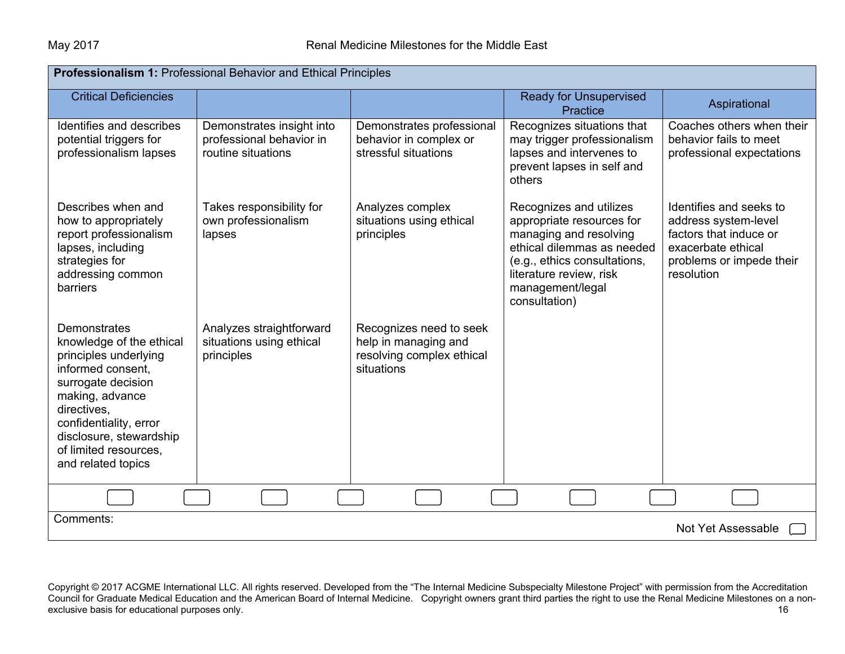| <b>Professionalism 1: Professional Behavior and Ethical Principles</b>                                                                                                                                                                             |                                                                             |                                                                                            |                                                                                                                                                                                                              |                                                                                                                                           |  |
|----------------------------------------------------------------------------------------------------------------------------------------------------------------------------------------------------------------------------------------------------|-----------------------------------------------------------------------------|--------------------------------------------------------------------------------------------|--------------------------------------------------------------------------------------------------------------------------------------------------------------------------------------------------------------|-------------------------------------------------------------------------------------------------------------------------------------------|--|
| <b>Critical Deficiencies</b>                                                                                                                                                                                                                       |                                                                             |                                                                                            | <b>Ready for Unsupervised</b><br>Practice                                                                                                                                                                    | Aspirational                                                                                                                              |  |
| Identifies and describes<br>potential triggers for<br>professionalism lapses                                                                                                                                                                       | Demonstrates insight into<br>professional behavior in<br>routine situations | Demonstrates professional<br>behavior in complex or<br>stressful situations                | Recognizes situations that<br>may trigger professionalism<br>lapses and intervenes to<br>prevent lapses in self and<br>others                                                                                | Coaches others when their<br>behavior fails to meet<br>professional expectations                                                          |  |
| Describes when and<br>how to appropriately<br>report professionalism<br>lapses, including<br>strategies for<br>addressing common<br>barriers                                                                                                       | Takes responsibility for<br>own professionalism<br>lapses                   | Analyzes complex<br>situations using ethical<br>principles                                 | Recognizes and utilizes<br>appropriate resources for<br>managing and resolving<br>ethical dilemmas as needed<br>(e.g., ethics consultations,<br>literature review, risk<br>management/legal<br>consultation) | Identifies and seeks to<br>address system-level<br>factors that induce or<br>exacerbate ethical<br>problems or impede their<br>resolution |  |
| Demonstrates<br>knowledge of the ethical<br>principles underlying<br>informed consent,<br>surrogate decision<br>making, advance<br>directives,<br>confidentiality, error<br>disclosure, stewardship<br>of limited resources.<br>and related topics | Analyzes straightforward<br>situations using ethical<br>principles          | Recognizes need to seek<br>help in managing and<br>resolving complex ethical<br>situations |                                                                                                                                                                                                              |                                                                                                                                           |  |
|                                                                                                                                                                                                                                                    |                                                                             |                                                                                            |                                                                                                                                                                                                              |                                                                                                                                           |  |
| Comments:<br>Not Yet Assessable                                                                                                                                                                                                                    |                                                                             |                                                                                            |                                                                                                                                                                                                              |                                                                                                                                           |  |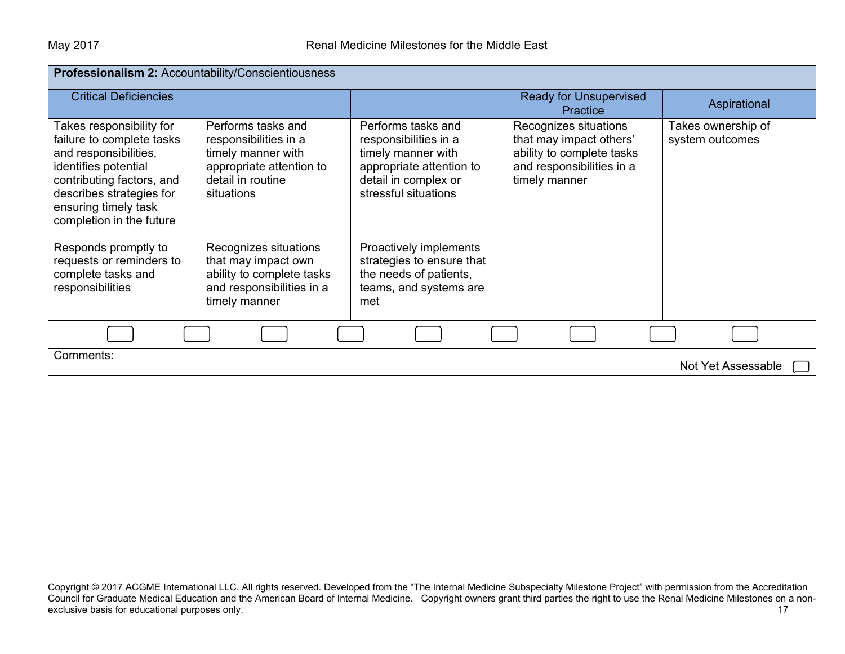| Professionalism 2: Accountability/Conscientiousness                                                                                                                                                                 |                                                                                                                                  |                                                                                                                                               |                                                                                                                             |                                       |  |
|---------------------------------------------------------------------------------------------------------------------------------------------------------------------------------------------------------------------|----------------------------------------------------------------------------------------------------------------------------------|-----------------------------------------------------------------------------------------------------------------------------------------------|-----------------------------------------------------------------------------------------------------------------------------|---------------------------------------|--|
| <b>Critical Deficiencies</b>                                                                                                                                                                                        |                                                                                                                                  |                                                                                                                                               | <b>Ready for Unsupervised</b><br><b>Practice</b>                                                                            | Aspirational                          |  |
| Takes responsibility for<br>failure to complete tasks<br>and responsibilities,<br>identifies potential<br>contributing factors, and<br>describes strategies for<br>ensuring timely task<br>completion in the future | Performs tasks and<br>responsibilities in a<br>timely manner with<br>appropriate attention to<br>detail in routine<br>situations | Performs tasks and<br>responsibilities in a<br>timely manner with<br>appropriate attention to<br>detail in complex or<br>stressful situations | Recognizes situations<br>that may impact others'<br>ability to complete tasks<br>and responsibilities in a<br>timely manner | Takes ownership of<br>system outcomes |  |
| Responds promptly to<br>requests or reminders to<br>complete tasks and<br>responsibilities                                                                                                                          | Recognizes situations<br>that may impact own<br>ability to complete tasks<br>and responsibilities in a<br>timely manner          | Proactively implements<br>strategies to ensure that<br>the needs of patients,<br>teams, and systems are<br>met                                |                                                                                                                             |                                       |  |
|                                                                                                                                                                                                                     |                                                                                                                                  |                                                                                                                                               |                                                                                                                             |                                       |  |
| Comments:                                                                                                                                                                                                           |                                                                                                                                  |                                                                                                                                               |                                                                                                                             | Not Yet Assessable                    |  |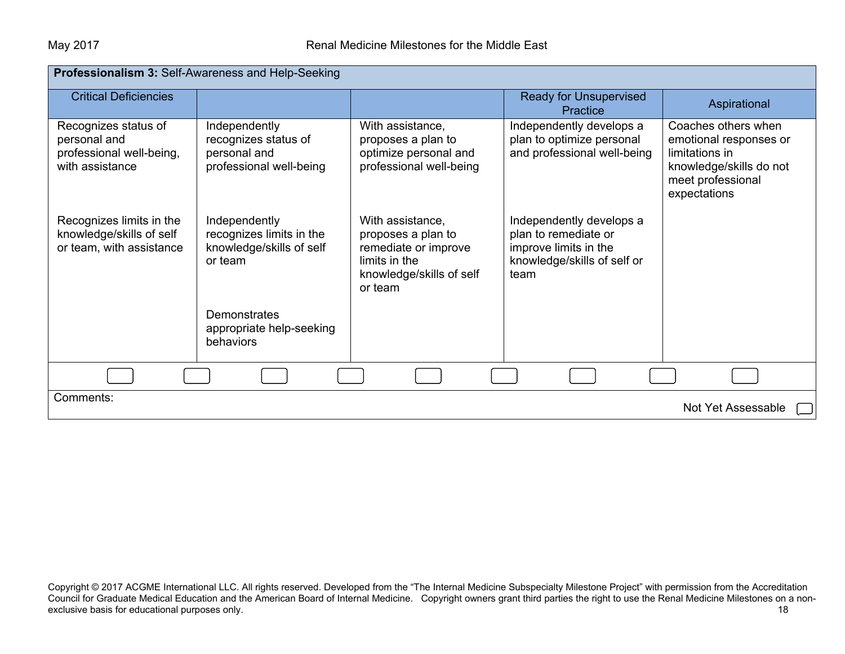| Professionalism 3: Self-Awareness and Help-Seeking                                  |                                                                                  |                                                                                                                        |                                                                                                                  |                                                                                                                                 |  |
|-------------------------------------------------------------------------------------|----------------------------------------------------------------------------------|------------------------------------------------------------------------------------------------------------------------|------------------------------------------------------------------------------------------------------------------|---------------------------------------------------------------------------------------------------------------------------------|--|
| <b>Critical Deficiencies</b>                                                        |                                                                                  |                                                                                                                        | <b>Ready for Unsupervised</b><br>Practice                                                                        | Aspirational                                                                                                                    |  |
| Recognizes status of<br>personal and<br>professional well-being,<br>with assistance | Independently<br>recognizes status of<br>personal and<br>professional well-being | With assistance,<br>proposes a plan to<br>optimize personal and<br>professional well-being                             | Independently develops a<br>plan to optimize personal<br>and professional well-being                             | Coaches others when<br>emotional responses or<br>limitations in<br>knowledge/skills do not<br>meet professional<br>expectations |  |
| Recognizes limits in the<br>knowledge/skills of self<br>or team, with assistance    | Independently<br>recognizes limits in the<br>knowledge/skills of self<br>or team | With assistance,<br>proposes a plan to<br>remediate or improve<br>limits in the<br>knowledge/skills of self<br>or team | Independently develops a<br>plan to remediate or<br>improve limits in the<br>knowledge/skills of self or<br>team |                                                                                                                                 |  |
|                                                                                     | Demonstrates<br>appropriate help-seeking<br>behaviors                            |                                                                                                                        |                                                                                                                  |                                                                                                                                 |  |
|                                                                                     |                                                                                  |                                                                                                                        |                                                                                                                  |                                                                                                                                 |  |
| Comments:                                                                           |                                                                                  |                                                                                                                        |                                                                                                                  | Not Yet Assessable                                                                                                              |  |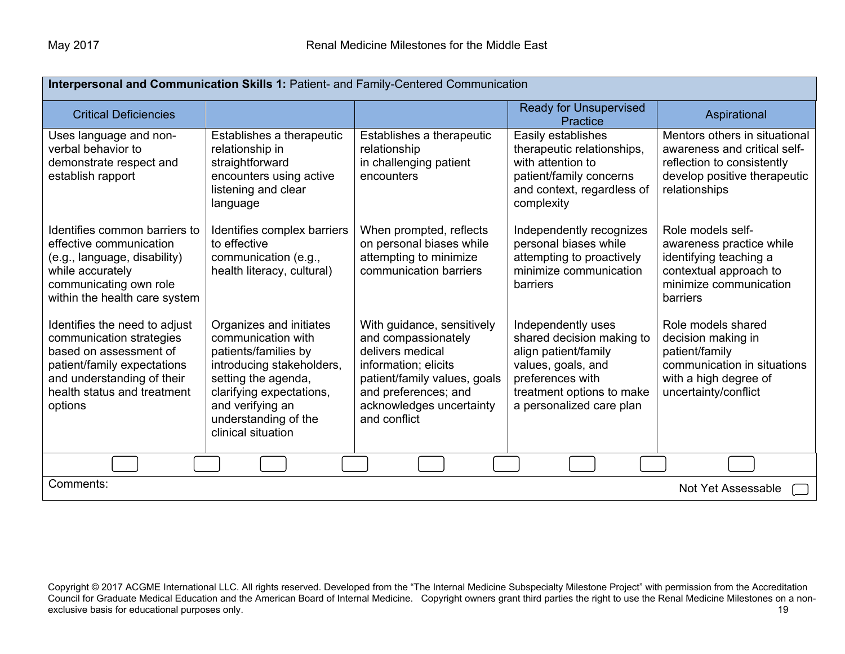| Interpersonal and Communication Skills 1: Patient- and Family-Centered Communication                                                                                                       |                                                                                                                                                                                                                         |                                                                                                                                                                                                   |                                                                                                                                                                            |                                                                                                                                                |  |
|--------------------------------------------------------------------------------------------------------------------------------------------------------------------------------------------|-------------------------------------------------------------------------------------------------------------------------------------------------------------------------------------------------------------------------|---------------------------------------------------------------------------------------------------------------------------------------------------------------------------------------------------|----------------------------------------------------------------------------------------------------------------------------------------------------------------------------|------------------------------------------------------------------------------------------------------------------------------------------------|--|
| <b>Critical Deficiencies</b>                                                                                                                                                               |                                                                                                                                                                                                                         |                                                                                                                                                                                                   | <b>Ready for Unsupervised</b><br>Practice                                                                                                                                  | Aspirational                                                                                                                                   |  |
| Uses language and non-<br>verbal behavior to<br>demonstrate respect and<br>establish rapport                                                                                               | Establishes a therapeutic<br>relationship in<br>straightforward<br>encounters using active<br>listening and clear<br>language                                                                                           | Establishes a therapeutic<br>relationship<br>in challenging patient<br>encounters                                                                                                                 | Easily establishes<br>therapeutic relationships,<br>with attention to<br>patient/family concerns<br>and context, regardless of<br>complexity                               | Mentors others in situational<br>awareness and critical self-<br>reflection to consistently<br>develop positive therapeutic<br>relationships   |  |
| Identifies common barriers to<br>effective communication<br>(e.g., language, disability)<br>while accurately<br>communicating own role<br>within the health care system                    | Identifies complex barriers<br>to effective<br>communication (e.g.,<br>health literacy, cultural)                                                                                                                       | When prompted, reflects<br>on personal biases while<br>attempting to minimize<br>communication barriers                                                                                           | Independently recognizes<br>personal biases while<br>attempting to proactively<br>minimize communication<br>barriers                                                       | Role models self-<br>awareness practice while<br>identifying teaching a<br>contextual approach to<br>minimize communication<br><b>barriers</b> |  |
| Identifies the need to adjust<br>communication strategies<br>based on assessment of<br>patient/family expectations<br>and understanding of their<br>health status and treatment<br>options | Organizes and initiates<br>communication with<br>patients/families by<br>introducing stakeholders,<br>setting the agenda,<br>clarifying expectations,<br>and verifying an<br>understanding of the<br>clinical situation | With guidance, sensitively<br>and compassionately<br>delivers medical<br>information; elicits<br>patient/family values, goals<br>and preferences; and<br>acknowledges uncertainty<br>and conflict | Independently uses<br>shared decision making to<br>align patient/family<br>values, goals, and<br>preferences with<br>treatment options to make<br>a personalized care plan | Role models shared<br>decision making in<br>patient/family<br>communication in situations<br>with a high degree of<br>uncertainty/conflict     |  |
|                                                                                                                                                                                            |                                                                                                                                                                                                                         |                                                                                                                                                                                                   |                                                                                                                                                                            |                                                                                                                                                |  |
| Comments:<br>Not Yet Assessable                                                                                                                                                            |                                                                                                                                                                                                                         |                                                                                                                                                                                                   |                                                                                                                                                                            |                                                                                                                                                |  |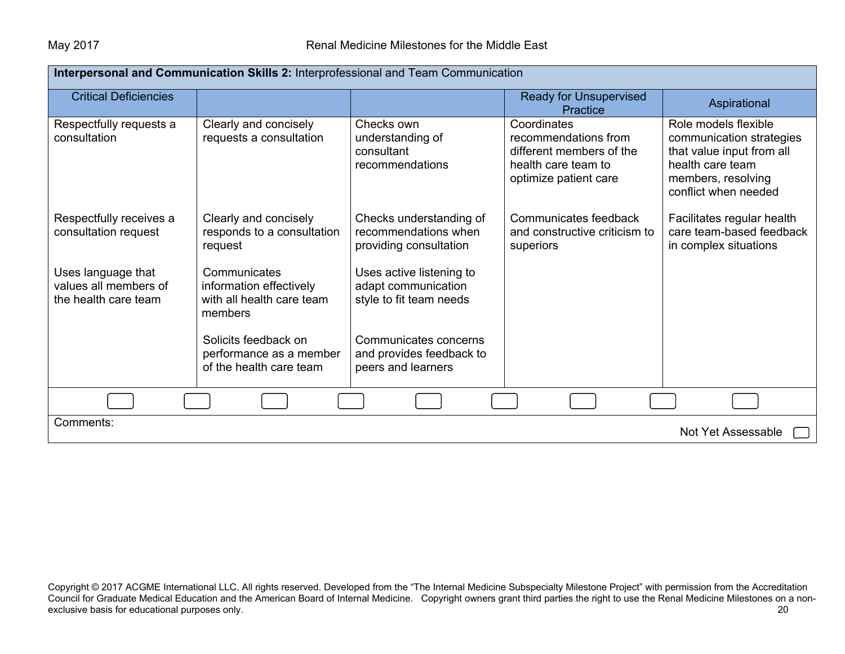| Interpersonal and Communication Skills 2: Interprofessional and Team Communication |                                                                                 |                                                                            |                                                                                                                 |                                                                                                                                                 |  |
|------------------------------------------------------------------------------------|---------------------------------------------------------------------------------|----------------------------------------------------------------------------|-----------------------------------------------------------------------------------------------------------------|-------------------------------------------------------------------------------------------------------------------------------------------------|--|
| <b>Critical Deficiencies</b>                                                       |                                                                                 |                                                                            | <b>Ready for Unsupervised</b><br><b>Practice</b>                                                                | Aspirational                                                                                                                                    |  |
| Respectfully requests a<br>consultation                                            | Clearly and concisely<br>requests a consultation                                | Checks own<br>understanding of<br>consultant<br>recommendations            | Coordinates<br>recommendations from<br>different members of the<br>health care team to<br>optimize patient care | Role models flexible<br>communication strategies<br>that value input from all<br>health care team<br>members, resolving<br>conflict when needed |  |
| Respectfully receives a<br>consultation request                                    | Clearly and concisely<br>responds to a consultation<br>request                  | Checks understanding of<br>recommendations when<br>providing consultation  | Communicates feedback<br>and constructive criticism to<br>superiors                                             | Facilitates regular health<br>care team-based feedback<br>in complex situations                                                                 |  |
| Uses language that<br>values all members of<br>the health care team                | Communicates<br>information effectively<br>with all health care team<br>members | Uses active listening to<br>adapt communication<br>style to fit team needs |                                                                                                                 |                                                                                                                                                 |  |
|                                                                                    | Solicits feedback on<br>performance as a member<br>of the health care team      | Communicates concerns<br>and provides feedback to<br>peers and learners    |                                                                                                                 |                                                                                                                                                 |  |
|                                                                                    |                                                                                 |                                                                            |                                                                                                                 |                                                                                                                                                 |  |
| Comments:                                                                          |                                                                                 |                                                                            |                                                                                                                 | Not Yet Assessable                                                                                                                              |  |